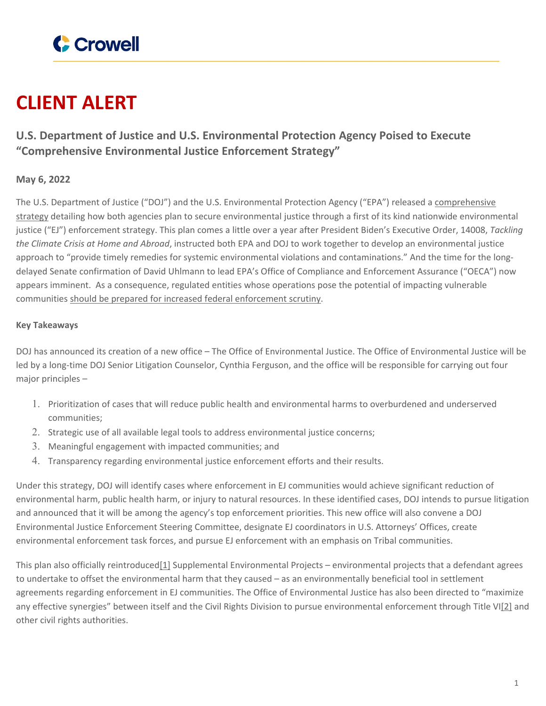

# **CLIENT ALERT**

## **U.S. Department of Justice and U.S. Environmental Protection Agency Poised to Execute "Comprehensive Environmental Justice Enforcement Strategy"**

### **May 6, 2022**

The U.S. Department of Justice ("DOJ") and the U.S. Environmental Protection Agency ("EPA") released a [comprehensive](https://www.justice.gov/asg/page/file/1499286/download) [strategy](https://www.justice.gov/asg/page/file/1499286/download) detailing how both agencies plan to secure environmental justice through a first of its kind nationwide environmental justice ("EJ") enforcement strategy. This plan comes a little over a year after President Biden's Executive Order, 14008, *Tackling the Climate Crisis at Home and Abroad*, instructed both EPA and DOJ to work together to develop an environmental justice approach to "provide timely remedies for systemic environmental violations and contaminations." And the time for the longdelayed Senate confirmation of David Uhlmann to lead EPA's Office of Compliance and Enforcement Assurance ("OECA") now appears imminent. As a consequence, regulated entities whose operations pose the potential of impacting vulnerable communities should be prepared for increased federal [enforcement](https://www.crowell.com/Practices/Environment-Natural-Resources/Environmental-Justice) scrutiny.

#### **Key Takeaways**

DOJ has announced its creation of a new office – The Office of Environmental Justice. The Office of Environmental Justice will be led by a long-time DOJ Senior Litigation Counselor, Cynthia Ferguson, and the office will be responsible for carrying out four major principles –

- 1. Prioritization of cases that will reduce public health and environmental harms to overburdened and underserved communities;
- 2. Strategic use of all available legal tools to address environmental justice concerns;
- 3. Meaningful engagement with impacted communities; and
- 4. Transparency regarding environmental justice enforcement efforts and their results.

Under this strategy, DOJ will identify cases where enforcement in EJ communities would achieve significant reduction of environmental harm, public health harm, or injury to natural resources. In these identified cases, DOJ intends to pursue litigation and announced that it will be among the agency's top enforcement priorities. This new office will also convene a DOJ Environmental Justice Enforcement Steering Committee, designate EJ coordinators in U.S. Attorneys' Offices, create environmental enforcement task forces, and pursue EJ enforcement with an emphasis on Tribal communities.

This plan also officially reintroduced[1] Supplemental Environmental Projects – environmental projects that a defendant agrees to undertake to offset the environmental harm that they caused – as an environmentally beneficial tool in settlement agreements regarding enforcement in EJ communities. The Office of Environmental Justice has also been directed to "maximize any effective synergies" between itself and the Civil Rights Division to pursue environmental enforcement through Title VI[2] and other civil rights authorities.